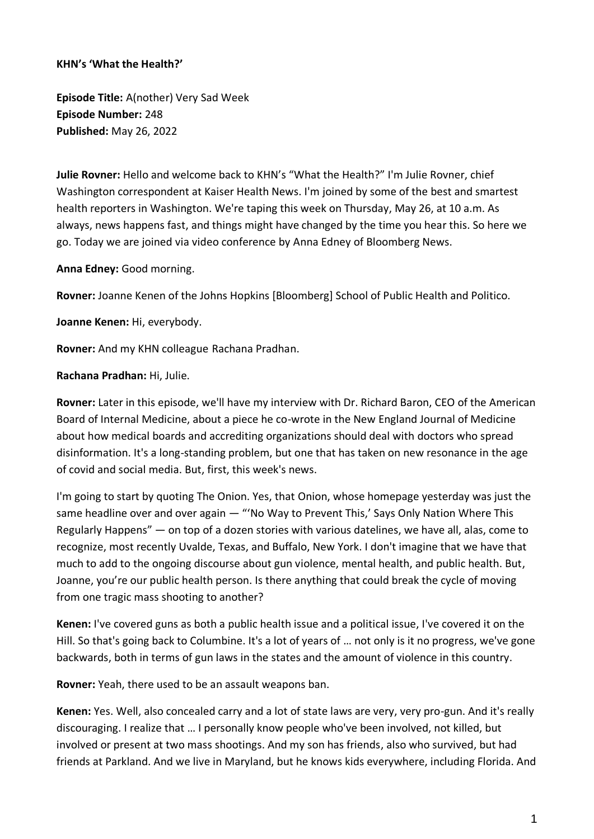## **KHN's 'What the Health?'**

**Episode Title:** A(nother) Very Sad Week **Episode Number:** 248 **Published:** May 26, 2022

**Julie Rovner:** Hello and welcome back to KHN's "What the Health?" I'm Julie Rovner, chief Washington correspondent at Kaiser Health News. I'm joined by some of the best and smartest health reporters in Washington. We're taping this week on Thursday, May 26, at 10 a.m. As always, news happens fast, and things might have changed by the time you hear this. So here we go. Today we are joined via video conference by Anna Edney of Bloomberg News.

**Anna Edney:** Good morning.

**Rovner:** Joanne Kenen of the Johns Hopkins [Bloomberg] School of Public Health and Politico.

**Joanne Kenen:** Hi, everybody.

**Rovner:** And my KHN colleague Rachana Pradhan.

**Rachana Pradhan:** Hi, Julie.

**Rovner:** Later in this episode, we'll have my interview with Dr. Richard Baron, CEO of the American Board of Internal Medicine, about a piece he co-wrote in the New England Journal of Medicine about how medical boards and accrediting organizations should deal with doctors who spread disinformation. It's a long-standing problem, but one that has taken on new resonance in the age of covid and social media. But, first, this week's news.

I'm going to start by quoting The Onion. Yes, that Onion, whose homepage yesterday was just the same headline over and over again — "'No Way to Prevent This,' Says Only Nation Where This Regularly Happens" — on top of a dozen stories with various datelines, we have all, alas, come to recognize, most recently Uvalde, Texas, and Buffalo, New York. I don't imagine that we have that much to add to the ongoing discourse about gun violence, mental health, and public health. But, Joanne, you're our public health person. Is there anything that could break the cycle of moving from one tragic mass shooting to another?

**Kenen:** I've covered guns as both a public health issue and a political issue, I've covered it on the Hill. So that's going back to Columbine. It's a lot of years of … not only is it no progress, we've gone backwards, both in terms of gun laws in the states and the amount of violence in this country.

**Rovner:** Yeah, there used to be an assault weapons ban.

**Kenen:** Yes. Well, also concealed carry and a lot of state laws are very, very pro-gun. And it's really discouraging. I realize that … I personally know people who've been involved, not killed, but involved or present at two mass shootings. And my son has friends, also who survived, but had friends at Parkland. And we live in Maryland, but he knows kids everywhere, including Florida. And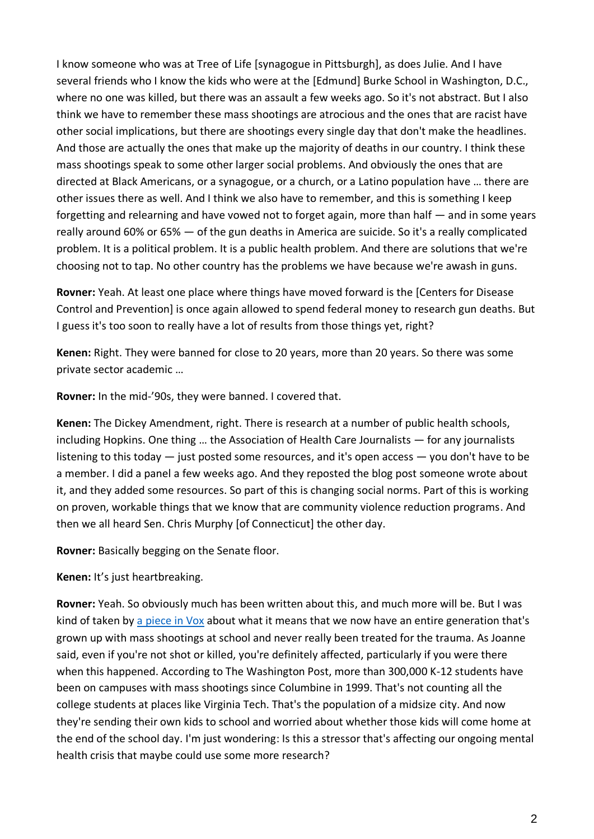I know someone who was at Tree of Life [synagogue in Pittsburgh], as does Julie. And I have several friends who I know the kids who were at the [Edmund] Burke School in Washington, D.C., where no one was killed, but there was an assault a few weeks ago. So it's not abstract. But I also think we have to remember these mass shootings are atrocious and the ones that are racist have other social implications, but there are shootings every single day that don't make the headlines. And those are actually the ones that make up the majority of deaths in our country. I think these mass shootings speak to some other larger social problems. And obviously the ones that are directed at Black Americans, or a synagogue, or a church, or a Latino population have … there are other issues there as well. And I think we also have to remember, and this is something I keep forgetting and relearning and have vowed not to forget again, more than half — and in some years really around 60% or 65% — of the gun deaths in America are suicide. So it's a really complicated problem. It is a political problem. It is a public health problem. And there are solutions that we're choosing not to tap. No other country has the problems we have because we're awash in guns.

**Rovner:** Yeah. At least one place where things have moved forward is the [Centers for Disease Control and Prevention] is once again allowed to spend federal money to research gun deaths. But I guess it's too soon to really have a lot of results from those things yet, right?

**Kenen:** Right. They were banned for close to 20 years, more than 20 years. So there was some private sector academic …

**Rovner:** In the mid-'90s, they were banned. I covered that.

**Kenen:** The Dickey Amendment, right. There is research at a number of public health schools, including Hopkins. One thing … the Association of Health Care Journalists — for any journalists listening to this today — just posted some resources, and it's open access — you don't have to be a member. I did a panel a few weeks ago. And they reposted the blog post someone wrote about it, and they added some resources. So part of this is changing social norms. Part of this is working on proven, workable things that we know that are community violence reduction programs. And then we all heard Sen. Chris Murphy [of Connecticut] the other day.

**Rovner:** Basically begging on the Senate floor.

**Kenen:** It's just heartbreaking.

**Rovner:** Yeah. So obviously much has been written about this, and much more will be. But I was kind of taken by [a piece in Vox](https://www.vox.com/the-highlight/22878920/school-shootings-survivors-columbine-mental-health) about what it means that we now have an entire generation that's grown up with mass shootings at school and never really been treated for the trauma. As Joanne said, even if you're not shot or killed, you're definitely affected, particularly if you were there when this happened. According to The Washington Post, more than 300,000 K-12 students have been on campuses with mass shootings since Columbine in 1999. That's not counting all the college students at places like Virginia Tech. That's the population of a midsize city. And now they're sending their own kids to school and worried about whether those kids will come home at the end of the school day. I'm just wondering: Is this a stressor that's affecting our ongoing mental health crisis that maybe could use some more research?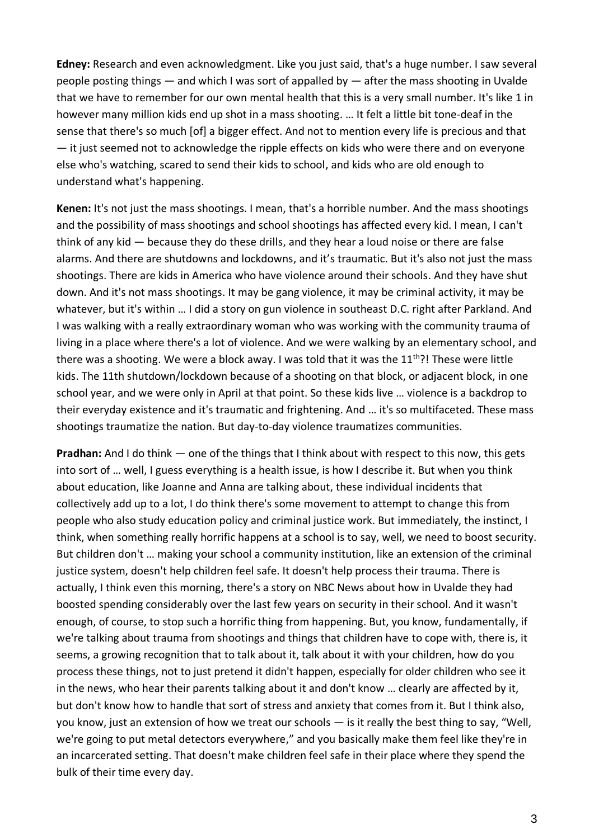**Edney:** Research and even acknowledgment. Like you just said, that's a huge number. I saw several people posting things — and which I was sort of appalled by — after the mass shooting in Uvalde that we have to remember for our own mental health that this is a very small number. It's like 1 in however many million kids end up shot in a mass shooting. … It felt a little bit tone-deaf in the sense that there's so much [of] a bigger effect. And not to mention every life is precious and that — it just seemed not to acknowledge the ripple effects on kids who were there and on everyone else who's watching, scared to send their kids to school, and kids who are old enough to understand what's happening.

**Kenen:** It's not just the mass shootings. I mean, that's a horrible number. And the mass shootings and the possibility of mass shootings and school shootings has affected every kid. I mean, I can't think of any kid — because they do these drills, and they hear a loud noise or there are false alarms. And there are shutdowns and lockdowns, and it's traumatic. But it's also not just the mass shootings. There are kids in America who have violence around their schools. And they have shut down. And it's not mass shootings. It may be gang violence, it may be criminal activity, it may be whatever, but it's within … I did a story on gun violence in southeast D.C. right after Parkland. And I was walking with a really extraordinary woman who was working with the community trauma of living in a place where there's a lot of violence. And we were walking by an elementary school, and there was a shooting. We were a block away. I was told that it was the  $11<sup>th</sup>$ ?! These were little kids. The 11th shutdown/lockdown because of a shooting on that block, or adjacent block, in one school year, and we were only in April at that point. So these kids live … violence is a backdrop to their everyday existence and it's traumatic and frightening. And … it's so multifaceted. These mass shootings traumatize the nation. But day-to-day violence traumatizes communities.

**Pradhan:** And I do think — one of the things that I think about with respect to this now, this gets into sort of … well, I guess everything is a health issue, is how I describe it. But when you think about education, like Joanne and Anna are talking about, these individual incidents that collectively add up to a lot, I do think there's some movement to attempt to change this from people who also study education policy and criminal justice work. But immediately, the instinct, I think, when something really horrific happens at a school is to say, well, we need to boost security. But children don't … making your school a community institution, like an extension of the criminal justice system, doesn't help children feel safe. It doesn't help process their trauma. There is actually, I think even this morning, there's a story on NBC News about how in Uvalde they had boosted spending considerably over the last few years on security in their school. And it wasn't enough, of course, to stop such a horrific thing from happening. But, you know, fundamentally, if we're talking about trauma from shootings and things that children have to cope with, there is, it seems, a growing recognition that to talk about it, talk about it with your children, how do you process these things, not to just pretend it didn't happen, especially for older children who see it in the news, who hear their parents talking about it and don't know … clearly are affected by it, but don't know how to handle that sort of stress and anxiety that comes from it. But I think also, you know, just an extension of how we treat our schools — is it really the best thing to say, "Well, we're going to put metal detectors everywhere," and you basically make them feel like they're in an incarcerated setting. That doesn't make children feel safe in their place where they spend the bulk of their time every day.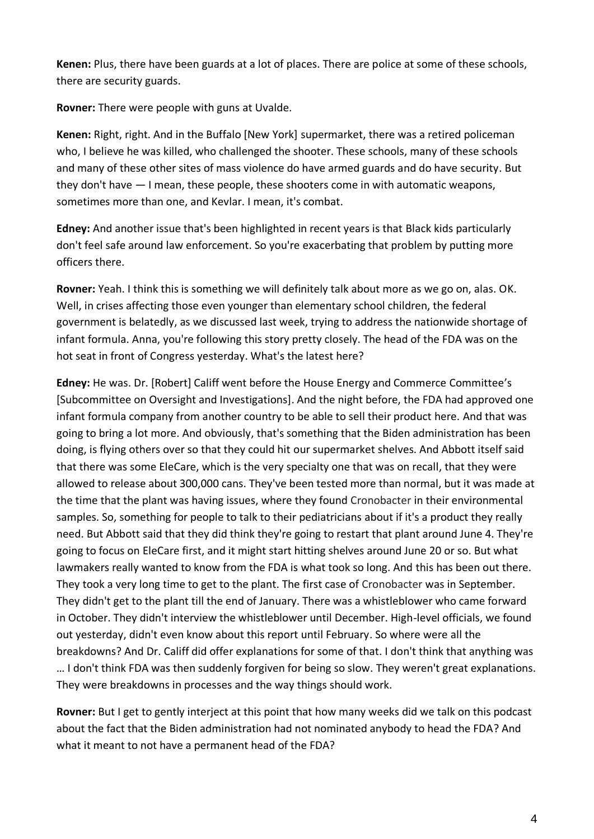**Kenen:** Plus, there have been guards at a lot of places. There are police at some of these schools, there are security guards.

**Rovner:** There were people with guns at Uvalde.

**Kenen:** Right, right. And in the Buffalo [New York] supermarket, there was a retired policeman who, I believe he was killed, who challenged the shooter. These schools, many of these schools and many of these other sites of mass violence do have armed guards and do have security. But they don't have — I mean, these people, these shooters come in with automatic weapons, sometimes more than one, and Kevlar. I mean, it's combat.

**Edney:** And another issue that's been highlighted in recent years is that Black kids particularly don't feel safe around law enforcement. So you're exacerbating that problem by putting more officers there.

**Rovner:** Yeah. I think this is something we will definitely talk about more as we go on, alas. OK. Well, in crises affecting those even younger than elementary school children, the federal government is belatedly, as we discussed last week, trying to address the nationwide shortage of infant formula. Anna, you're following this story pretty closely. The head of the FDA was on the hot seat in front of Congress yesterday. What's the latest here?

**Edney:** He was. Dr. [Robert] Califf went before the House Energy and Commerce Committee's [Subcommittee on Oversight and Investigations]. And the night before, the FDA had approved one infant formula company from another country to be able to sell their product here. And that was going to bring a lot more. And obviously, that's something that the Biden administration has been doing, is flying others over so that they could hit our supermarket shelves. And Abbott itself said that there was some EleCare, which is the very specialty one that was on recall, that they were allowed to release about 300,000 cans. They've been tested more than normal, but it was made at the time that the plant was having issues, where they found Cronobacter in their environmental samples. So, something for people to talk to their pediatricians about if it's a product they really need. But Abbott said that they did think they're going to restart that plant around June 4. They're going to focus on EleCare first, and it might start hitting shelves around June 20 or so. But what lawmakers really wanted to know from the FDA is what took so long. And this has been out there. They took a very long time to get to the plant. The first case of Cronobacter was in September. They didn't get to the plant till the end of January. There was a whistleblower who came forward in October. They didn't interview the whistleblower until December. High-level officials, we found out yesterday, didn't even know about this report until February. So where were all the breakdowns? And Dr. Califf did offer explanations for some of that. I don't think that anything was … I don't think FDA was then suddenly forgiven for being so slow. They weren't great explanations. They were breakdowns in processes and the way things should work.

**Rovner:** But I get to gently interject at this point that how many weeks did we talk on this podcast about the fact that the Biden administration had not nominated anybody to head the FDA? And what it meant to not have a permanent head of the FDA?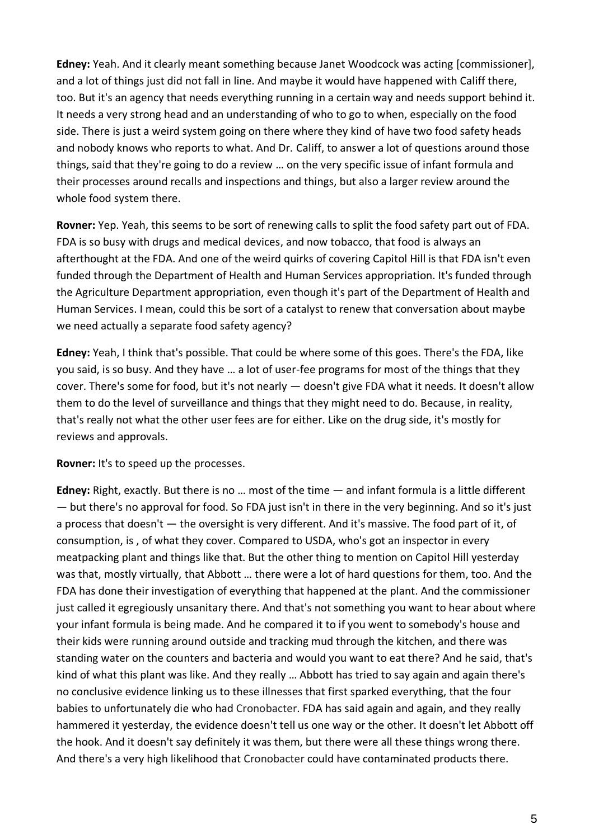**Edney:** Yeah. And it clearly meant something because Janet Woodcock was acting [commissioner], and a lot of things just did not fall in line. And maybe it would have happened with Califf there, too. But it's an agency that needs everything running in a certain way and needs support behind it. It needs a very strong head and an understanding of who to go to when, especially on the food side. There is just a weird system going on there where they kind of have two food safety heads and nobody knows who reports to what. And Dr. Califf, to answer a lot of questions around those things, said that they're going to do a review … on the very specific issue of infant formula and their processes around recalls and inspections and things, but also a larger review around the whole food system there.

**Rovner:** Yep. Yeah, this seems to be sort of renewing calls to split the food safety part out of FDA. FDA is so busy with drugs and medical devices, and now tobacco, that food is always an afterthought at the FDA. And one of the weird quirks of covering Capitol Hill is that FDA isn't even funded through the Department of Health and Human Services appropriation. It's funded through the Agriculture Department appropriation, even though it's part of the Department of Health and Human Services. I mean, could this be sort of a catalyst to renew that conversation about maybe we need actually a separate food safety agency?

**Edney:** Yeah, I think that's possible. That could be where some of this goes. There's the FDA, like you said, is so busy. And they have … a lot of user-fee programs for most of the things that they cover. There's some for food, but it's not nearly — doesn't give FDA what it needs. It doesn't allow them to do the level of surveillance and things that they might need to do. Because, in reality, that's really not what the other user fees are for either. Like on the drug side, it's mostly for reviews and approvals.

**Rovner:** It's to speed up the processes.

**Edney:** Right, exactly. But there is no … most of the time — and infant formula is a little different — but there's no approval for food. So FDA just isn't in there in the very beginning. And so it's just a process that doesn't — the oversight is very different. And it's massive. The food part of it, of consumption, is , of what they cover. Compared to USDA, who's got an inspector in every meatpacking plant and things like that. But the other thing to mention on Capitol Hill yesterday was that, mostly virtually, that Abbott … there were a lot of hard questions for them, too. And the FDA has done their investigation of everything that happened at the plant. And the commissioner just called it egregiously unsanitary there. And that's not something you want to hear about where your infant formula is being made. And he compared it to if you went to somebody's house and their kids were running around outside and tracking mud through the kitchen, and there was standing water on the counters and bacteria and would you want to eat there? And he said, that's kind of what this plant was like. And they really … Abbott has tried to say again and again there's no conclusive evidence linking us to these illnesses that first sparked everything, that the four babies to unfortunately die who had Cronobacter. FDA has said again and again, and they really hammered it yesterday, the evidence doesn't tell us one way or the other. It doesn't let Abbott off the hook. And it doesn't say definitely it was them, but there were all these things wrong there. And there's a very high likelihood that Cronobacter could have contaminated products there.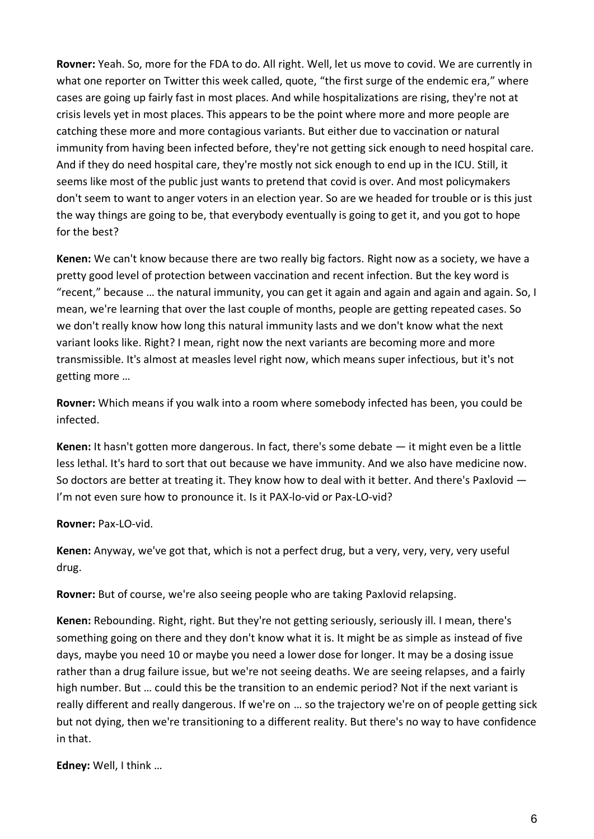**Rovner:** Yeah. So, more for the FDA to do. All right. Well, let us move to covid. We are currently in what one reporter on Twitter this week called, quote, "the first surge of the endemic era," where cases are going up fairly fast in most places. And while hospitalizations are rising, they're not at crisis levels yet in most places. This appears to be the point where more and more people are catching these more and more contagious variants. But either due to vaccination or natural immunity from having been infected before, they're not getting sick enough to need hospital care. And if they do need hospital care, they're mostly not sick enough to end up in the ICU. Still, it seems like most of the public just wants to pretend that covid is over. And most policymakers don't seem to want to anger voters in an election year. So are we headed for trouble or is this just the way things are going to be, that everybody eventually is going to get it, and you got to hope for the best?

**Kenen:** We can't know because there are two really big factors. Right now as a society, we have a pretty good level of protection between vaccination and recent infection. But the key word is "recent," because … the natural immunity, you can get it again and again and again and again. So, I mean, we're learning that over the last couple of months, people are getting repeated cases. So we don't really know how long this natural immunity lasts and we don't know what the next variant looks like. Right? I mean, right now the next variants are becoming more and more transmissible. It's almost at measles level right now, which means super infectious, but it's not getting more …

**Rovner:** Which means if you walk into a room where somebody infected has been, you could be infected.

**Kenen:** It hasn't gotten more dangerous. In fact, there's some debate — it might even be a little less lethal. It's hard to sort that out because we have immunity. And we also have medicine now. So doctors are better at treating it. They know how to deal with it better. And there's Paxlovid — I'm not even sure how to pronounce it. Is it PAX-lo-vid or Pax-LO-vid?

## **Rovner:** Pax-LO-vid.

**Kenen:** Anyway, we've got that, which is not a perfect drug, but a very, very, very, very useful drug.

**Rovner:** But of course, we're also seeing people who are taking Paxlovid relapsing.

**Kenen:** Rebounding. Right, right. But they're not getting seriously, seriously ill. I mean, there's something going on there and they don't know what it is. It might be as simple as instead of five days, maybe you need 10 or maybe you need a lower dose for longer. It may be a dosing issue rather than a drug failure issue, but we're not seeing deaths. We are seeing relapses, and a fairly high number. But … could this be the transition to an endemic period? Not if the next variant is really different and really dangerous. If we're on … so the trajectory we're on of people getting sick but not dying, then we're transitioning to a different reality. But there's no way to have confidence in that.

**Edney:** Well, I think …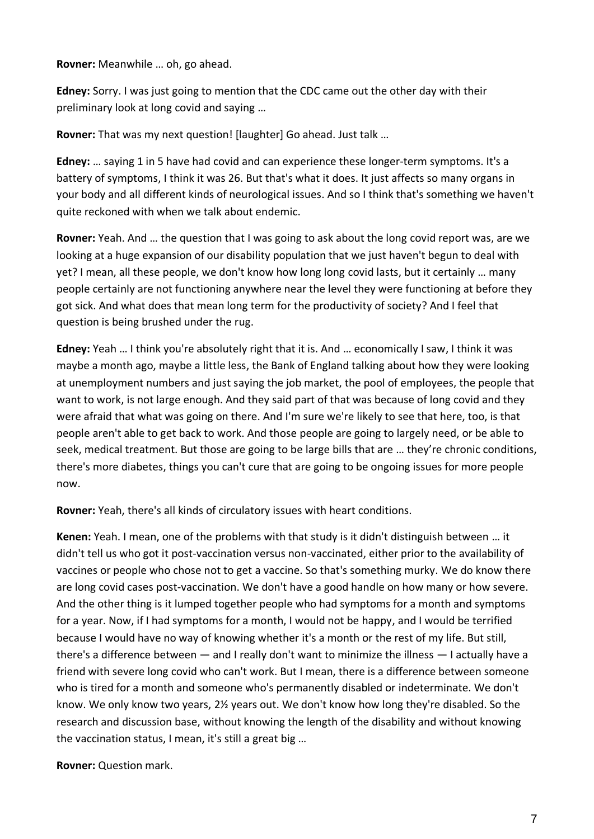**Rovner:** Meanwhile … oh, go ahead.

**Edney:** Sorry. I was just going to mention that the CDC came out the other day with their preliminary look at long covid and saying …

**Rovner:** That was my next question! [laughter] Go ahead. Just talk …

**Edney:** … saying 1 in 5 have had covid and can experience these longer-term symptoms. It's a battery of symptoms, I think it was 26. But that's what it does. It just affects so many organs in your body and all different kinds of neurological issues. And so I think that's something we haven't quite reckoned with when we talk about endemic.

**Rovner:** Yeah. And … the question that I was going to ask about the long covid report was, are we looking at a huge expansion of our disability population that we just haven't begun to deal with yet? I mean, all these people, we don't know how long long covid lasts, but it certainly … many people certainly are not functioning anywhere near the level they were functioning at before they got sick. And what does that mean long term for the productivity of society? And I feel that question is being brushed under the rug.

**Edney:** Yeah … I think you're absolutely right that it is. And … economically I saw, I think it was maybe a month ago, maybe a little less, the Bank of England talking about how they were looking at unemployment numbers and just saying the job market, the pool of employees, the people that want to work, is not large enough. And they said part of that was because of long covid and they were afraid that what was going on there. And I'm sure we're likely to see that here, too, is that people aren't able to get back to work. And those people are going to largely need, or be able to seek, medical treatment. But those are going to be large bills that are … they're chronic conditions, there's more diabetes, things you can't cure that are going to be ongoing issues for more people now.

**Rovner:** Yeah, there's all kinds of circulatory issues with heart conditions.

**Kenen:** Yeah. I mean, one of the problems with that study is it didn't distinguish between … it didn't tell us who got it post-vaccination versus non-vaccinated, either prior to the availability of vaccines or people who chose not to get a vaccine. So that's something murky. We do know there are long covid cases post-vaccination. We don't have a good handle on how many or how severe. And the other thing is it lumped together people who had symptoms for a month and symptoms for a year. Now, if I had symptoms for a month, I would not be happy, and I would be terrified because I would have no way of knowing whether it's a month or the rest of my life. But still, there's a difference between — and I really don't want to minimize the illness — I actually have a friend with severe long covid who can't work. But I mean, there is a difference between someone who is tired for a month and someone who's permanently disabled or indeterminate. We don't know. We only know two years, 2½ years out. We don't know how long they're disabled. So the research and discussion base, without knowing the length of the disability and without knowing the vaccination status, I mean, it's still a great big …

**Rovner:** Question mark.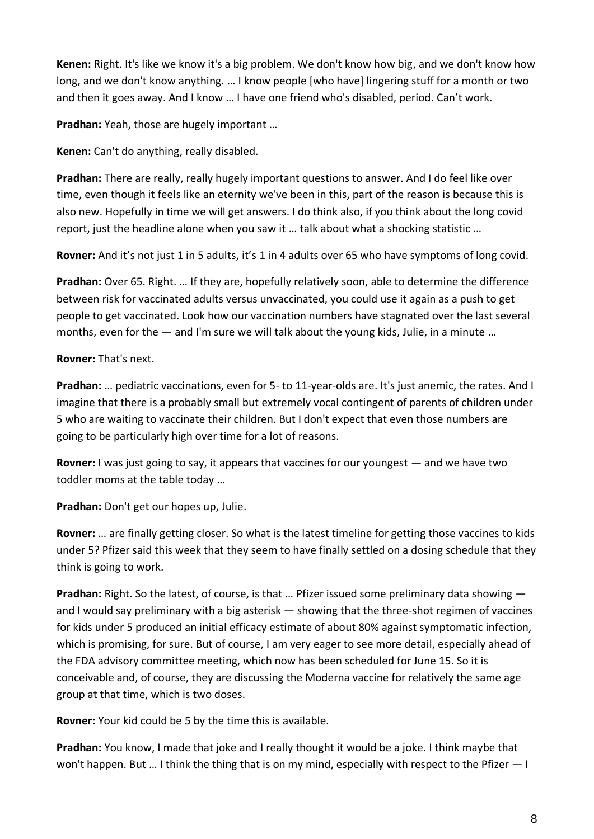**Kenen:** Right. It's like we know it's a big problem. We don't know how big, and we don't know how long, and we don't know anything. ... I know people [who have] lingering stuff for a month or two and then it goes away. And I know … I have one friend who's disabled, period. Can't work.

**Pradhan:** Yeah, those are hugely important …

**Kenen:** Can't do anything, really disabled.

**Pradhan:** There are really, really hugely important questions to answer. And I do feel like over time, even though it feels like an eternity we've been in this, part of the reason is because this is also new. Hopefully in time we will get answers. I do think also, if you think about the long covid report, just the headline alone when you saw it … talk about what a shocking statistic …

**Rovner:** And it's not just 1 in 5 adults, it's 1 in 4 adults over 65 who have symptoms of long covid.

**Pradhan:** Over 65. Right. … If they are, hopefully relatively soon, able to determine the difference between risk for vaccinated adults versus unvaccinated, you could use it again as a push to get people to get vaccinated. Look how our vaccination numbers have stagnated over the last several months, even for the  $-$  and I'm sure we will talk about the young kids, Julie, in a minute ...

**Rovner:** That's next.

**Pradhan:** … pediatric vaccinations, even for 5- to 11-year-olds are. It's just anemic, the rates. And I imagine that there is a probably small but extremely vocal contingent of parents of children under 5 who are waiting to vaccinate their children. But I don't expect that even those numbers are going to be particularly high over time for a lot of reasons.

**Rovner:** I was just going to say, it appears that vaccines for our youngest — and we have two toddler moms at the table today …

**Pradhan:** Don't get our hopes up, Julie.

**Rovner:** … are finally getting closer. So what is the latest timeline for getting those vaccines to kids under 5? Pfizer said this week that they seem to have finally settled on a dosing schedule that they think is going to work.

**Pradhan:** Right. So the latest, of course, is that … Pfizer issued some preliminary data showing and I would say preliminary with a big asterisk — showing that the three-shot regimen of vaccines for kids under 5 produced an initial efficacy estimate of about 80% against symptomatic infection, which is promising, for sure. But of course, I am very eager to see more detail, especially ahead of the FDA advisory committee meeting, which now has been scheduled for June 15. So it is conceivable and, of course, they are discussing the Moderna vaccine for relatively the same age group at that time, which is two doses.

**Rovner:** Your kid could be 5 by the time this is available.

**Pradhan:** You know, I made that joke and I really thought it would be a joke. I think maybe that won't happen. But … I think the thing that is on my mind, especially with respect to the Pfizer — I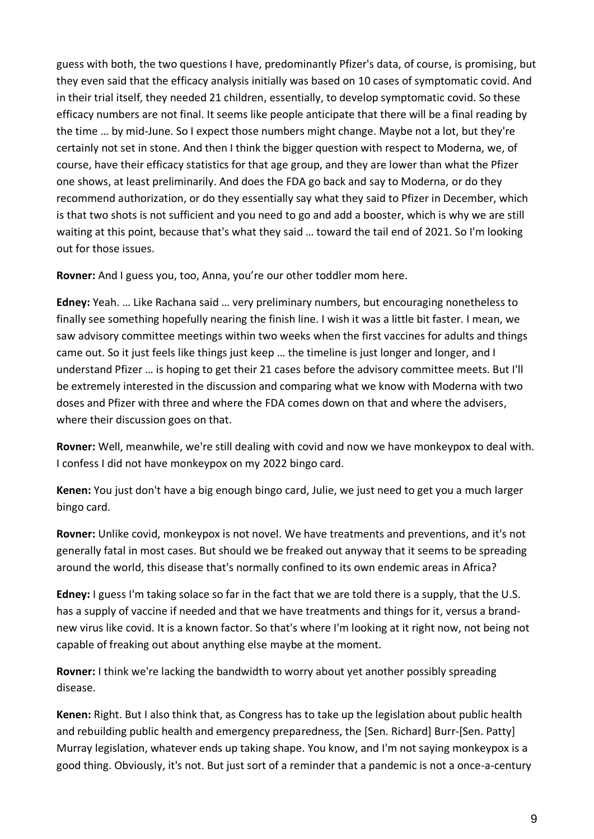guess with both, the two questions I have, predominantly Pfizer's data, of course, is promising, but they even said that the efficacy analysis initially was based on 10 cases of symptomatic covid. And in their trial itself, they needed 21 children, essentially, to develop symptomatic covid. So these efficacy numbers are not final. It seems like people anticipate that there will be a final reading by the time … by mid-June. So I expect those numbers might change. Maybe not a lot, but they're certainly not set in stone. And then I think the bigger question with respect to Moderna, we, of course, have their efficacy statistics for that age group, and they are lower than what the Pfizer one shows, at least preliminarily. And does the FDA go back and say to Moderna, or do they recommend authorization, or do they essentially say what they said to Pfizer in December, which is that two shots is not sufficient and you need to go and add a booster, which is why we are still waiting at this point, because that's what they said … toward the tail end of 2021. So I'm looking out for those issues.

**Rovner:** And I guess you, too, Anna, you're our other toddler mom here.

**Edney:** Yeah. … Like Rachana said … very preliminary numbers, but encouraging nonetheless to finally see something hopefully nearing the finish line. I wish it was a little bit faster. I mean, we saw advisory committee meetings within two weeks when the first vaccines for adults and things came out. So it just feels like things just keep … the timeline is just longer and longer, and I understand Pfizer … is hoping to get their 21 cases before the advisory committee meets. But I'll be extremely interested in the discussion and comparing what we know with Moderna with two doses and Pfizer with three and where the FDA comes down on that and where the advisers, where their discussion goes on that.

**Rovner:** Well, meanwhile, we're still dealing with covid and now we have monkeypox to deal with. I confess I did not have monkeypox on my 2022 bingo card.

**Kenen:** You just don't have a big enough bingo card, Julie, we just need to get you a much larger bingo card.

**Rovner:** Unlike covid, monkeypox is not novel. We have treatments and preventions, and it's not generally fatal in most cases. But should we be freaked out anyway that it seems to be spreading around the world, this disease that's normally confined to its own endemic areas in Africa?

**Edney:** I guess I'm taking solace so far in the fact that we are told there is a supply, that the U.S. has a supply of vaccine if needed and that we have treatments and things for it, versus a brandnew virus like covid. It is a known factor. So that's where I'm looking at it right now, not being not capable of freaking out about anything else maybe at the moment.

**Rovner:** I think we're lacking the bandwidth to worry about yet another possibly spreading disease.

**Kenen:** Right. But I also think that, as Congress has to take up the legislation about public health and rebuilding public health and emergency preparedness, the [Sen. Richard] Burr-[Sen. Patty] Murray legislation, whatever ends up taking shape. You know, and I'm not saying monkeypox is a good thing. Obviously, it's not. But just sort of a reminder that a pandemic is not a once-a-century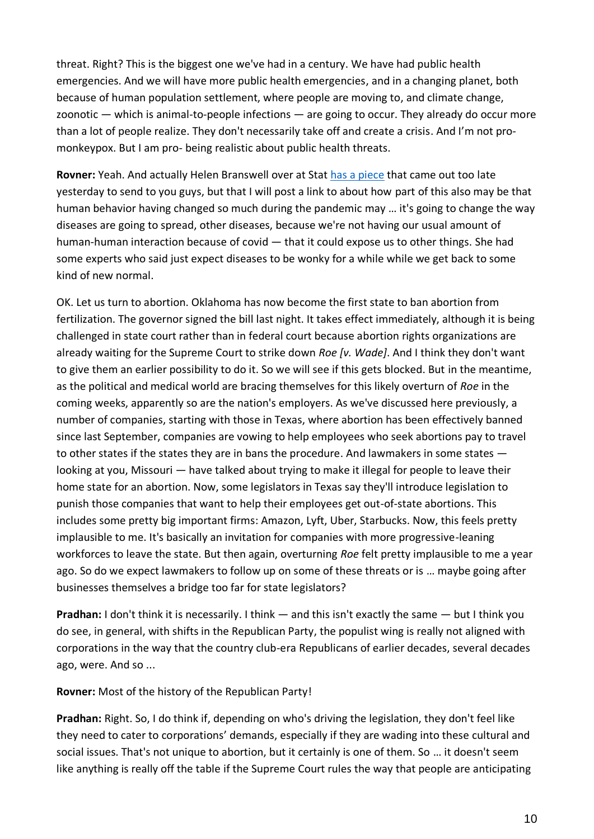threat. Right? This is the biggest one we've had in a century. We have had public health emergencies. And we will have more public health emergencies, and in a changing planet, both because of human population settlement, where people are moving to, and climate change, zoonotic  $-$  which is animal-to-people infections  $-$  are going to occur. They already do occur more than a lot of people realize. They don't necessarily take off and create a crisis. And I'm not promonkeypox. But I am pro- being realistic about public health threats.

**Rovner:** Yeah. And actually Helen Branswell over at Stat [has a piece](https://www.statnews.com/2022/05/25/viruses-that-were-on-hiatus-during-covid-are-back-and-behaving-in-unexpected-ways/) that came out too late yesterday to send to you guys, but that I will post a link to about how part of this also may be that human behavior having changed so much during the pandemic may … it's going to change the way diseases are going to spread, other diseases, because we're not having our usual amount of human-human interaction because of covid — that it could expose us to other things. She had some experts who said just expect diseases to be wonky for a while while we get back to some kind of new normal.

OK. Let us turn to abortion. Oklahoma has now become the first state to ban abortion from fertilization. The governor signed the bill last night. It takes effect immediately, although it is being challenged in state court rather than in federal court because abortion rights organizations are already waiting for the Supreme Court to strike down *Roe [v. Wade]*. And I think they don't want to give them an earlier possibility to do it. So we will see if this gets blocked. But in the meantime, as the political and medical world are bracing themselves for this likely overturn of *Roe* in the coming weeks, apparently so are the nation's employers. As we've discussed here previously, a number of companies, starting with those in Texas, where abortion has been effectively banned since last September, companies are vowing to help employees who seek abortions pay to travel to other states if the states they are in bans the procedure. And lawmakers in some states looking at you, Missouri — have talked about trying to make it illegal for people to leave their home state for an abortion. Now, some legislators in Texas say they'll introduce legislation to punish those companies that want to help their employees get out-of-state abortions. This includes some pretty big important firms: Amazon, Lyft, Uber, Starbucks. Now, this feels pretty implausible to me. It's basically an invitation for companies with more progressive-leaning workforces to leave the state. But then again, overturning *Roe* felt pretty implausible to me a year ago. So do we expect lawmakers to follow up on some of these threats or is … maybe going after businesses themselves a bridge too far for state legislators?

**Pradhan:** I don't think it is necessarily. I think — and this isn't exactly the same — but I think you do see, in general, with shifts in the Republican Party, the populist wing is really not aligned with corporations in the way that the country club-era Republicans of earlier decades, several decades ago, were. And so ...

**Rovner:** Most of the history of the Republican Party!

**Pradhan:** Right. So, I do think if, depending on who's driving the legislation, they don't feel like they need to cater to corporations' demands, especially if they are wading into these cultural and social issues. That's not unique to abortion, but it certainly is one of them. So … it doesn't seem like anything is really off the table if the Supreme Court rules the way that people are anticipating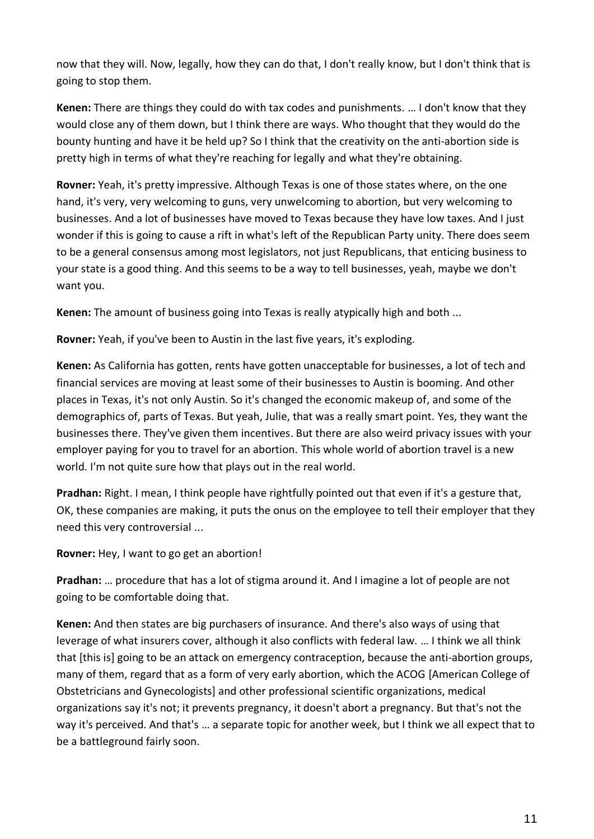now that they will. Now, legally, how they can do that, I don't really know, but I don't think that is going to stop them.

**Kenen:** There are things they could do with tax codes and punishments. … I don't know that they would close any of them down, but I think there are ways. Who thought that they would do the bounty hunting and have it be held up? So I think that the creativity on the anti-abortion side is pretty high in terms of what they're reaching for legally and what they're obtaining.

**Rovner:** Yeah, it's pretty impressive. Although Texas is one of those states where, on the one hand, it's very, very welcoming to guns, very unwelcoming to abortion, but very welcoming to businesses. And a lot of businesses have moved to Texas because they have low taxes. And I just wonder if this is going to cause a rift in what's left of the Republican Party unity. There does seem to be a general consensus among most legislators, not just Republicans, that enticing business to your state is a good thing. And this seems to be a way to tell businesses, yeah, maybe we don't want you.

**Kenen:** The amount of business going into Texas is really atypically high and both ...

**Rovner:** Yeah, if you've been to Austin in the last five years, it's exploding.

**Kenen:** As California has gotten, rents have gotten unacceptable for businesses, a lot of tech and financial services are moving at least some of their businesses to Austin is booming. And other places in Texas, it's not only Austin. So it's changed the economic makeup of, and some of the demographics of, parts of Texas. But yeah, Julie, that was a really smart point. Yes, they want the businesses there. They've given them incentives. But there are also weird privacy issues with your employer paying for you to travel for an abortion. This whole world of abortion travel is a new world. I'm not quite sure how that plays out in the real world.

**Pradhan:** Right. I mean, I think people have rightfully pointed out that even if it's a gesture that, OK, these companies are making, it puts the onus on the employee to tell their employer that they need this very controversial ...

**Rovner:** Hey, I want to go get an abortion!

**Pradhan:** … procedure that has a lot of stigma around it. And I imagine a lot of people are not going to be comfortable doing that.

**Kenen:** And then states are big purchasers of insurance. And there's also ways of using that leverage of what insurers cover, although it also conflicts with federal law. … I think we all think that [this is] going to be an attack on emergency contraception, because the anti-abortion groups, many of them, regard that as a form of very early abortion, which the ACOG [American College of Obstetricians and Gynecologists] and other professional scientific organizations, medical organizations say it's not; it prevents pregnancy, it doesn't abort a pregnancy. But that's not the way it's perceived. And that's … a separate topic for another week, but I think we all expect that to be a battleground fairly soon.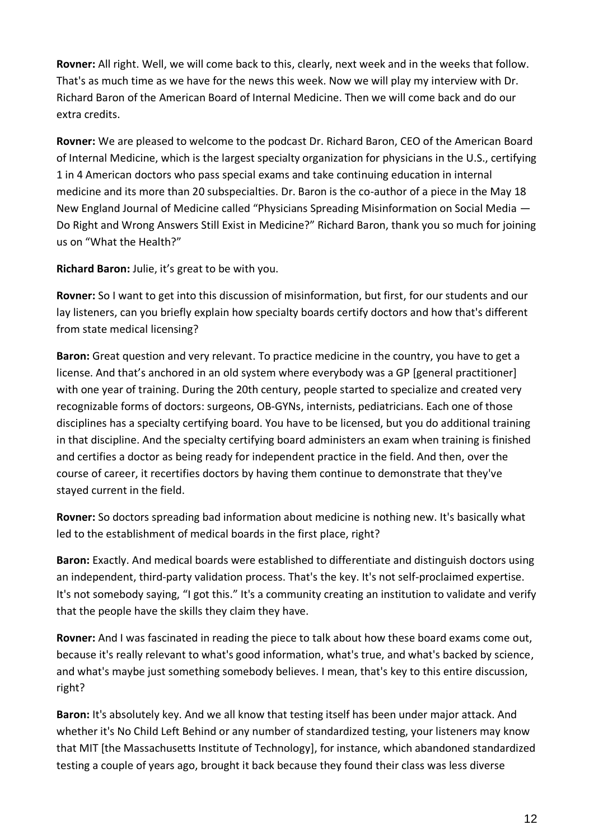**Rovner:** All right. Well, we will come back to this, clearly, next week and in the weeks that follow. That's as much time as we have for the news this week. Now we will play my interview with Dr. Richard Baron of the American Board of Internal Medicine. Then we will come back and do our extra credits.

**Rovner:** We are pleased to welcome to the podcast Dr. Richard Baron, CEO of the American Board of Internal Medicine, which is the largest specialty organization for physicians in the U.S., certifying 1 in 4 American doctors who pass special exams and take continuing education in internal medicine and its more than 20 subspecialties. Dr. Baron is the co-author of a piece in the May 18 New England Journal of Medicine called "Physicians Spreading Misinformation on Social Media — Do Right and Wrong Answers Still Exist in Medicine?" Richard Baron, thank you so much for joining us on "What the Health?"

**Richard Baron:** Julie, it's great to be with you.

**Rovner:** So I want to get into this discussion of misinformation, but first, for our students and our lay listeners, can you briefly explain how specialty boards certify doctors and how that's different from state medical licensing?

**Baron:** Great question and very relevant. To practice medicine in the country, you have to get a license. And that's anchored in an old system where everybody was a GP [general practitioner] with one year of training. During the 20th century, people started to specialize and created very recognizable forms of doctors: surgeons, OB-GYNs, internists, pediatricians. Each one of those disciplines has a specialty certifying board. You have to be licensed, but you do additional training in that discipline. And the specialty certifying board administers an exam when training is finished and certifies a doctor as being ready for independent practice in the field. And then, over the course of career, it recertifies doctors by having them continue to demonstrate that they've stayed current in the field.

**Rovner:** So doctors spreading bad information about medicine is nothing new. It's basically what led to the establishment of medical boards in the first place, right?

**Baron:** Exactly. And medical boards were established to differentiate and distinguish doctors using an independent, third-party validation process. That's the key. It's not self-proclaimed expertise. It's not somebody saying, "I got this." It's a community creating an institution to validate and verify that the people have the skills they claim they have.

**Rovner:** And I was fascinated in reading the piece to talk about how these board exams come out, because it's really relevant to what's good information, what's true, and what's backed by science, and what's maybe just something somebody believes. I mean, that's key to this entire discussion, right?

**Baron:** It's absolutely key. And we all know that testing itself has been under major attack. And whether it's No Child Left Behind or any number of standardized testing, your listeners may know that MIT [the Massachusetts Institute of Technology], for instance, which abandoned standardized testing a couple of years ago, brought it back because they found their class was less diverse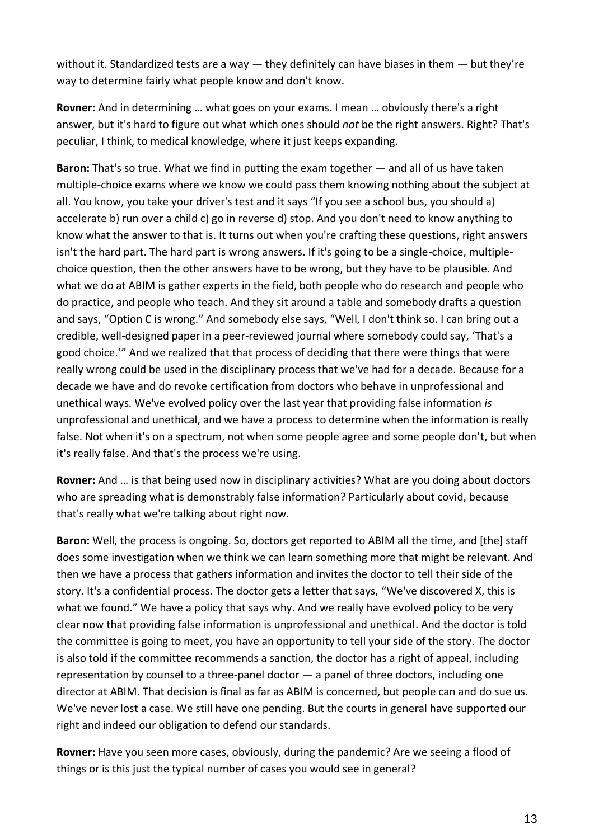without it. Standardized tests are a way  $-$  they definitely can have biases in them  $-$  but they're way to determine fairly what people know and don't know.

**Rovner:** And in determining … what goes on your exams. I mean … obviously there's a right answer, but it's hard to figure out what which ones should *not* be the right answers. Right? That's peculiar, I think, to medical knowledge, where it just keeps expanding.

**Baron:** That's so true. What we find in putting the exam together — and all of us have taken multiple-choice exams where we know we could pass them knowing nothing about the subject at all. You know, you take your driver's test and it says "If you see a school bus, you should a) accelerate b) run over a child c) go in reverse d) stop. And you don't need to know anything to know what the answer to that is. It turns out when you're crafting these questions, right answers isn't the hard part. The hard part is wrong answers. If it's going to be a single-choice, multiplechoice question, then the other answers have to be wrong, but they have to be plausible. And what we do at ABIM is gather experts in the field, both people who do research and people who do practice, and people who teach. And they sit around a table and somebody drafts a question and says, "Option C is wrong." And somebody else says, "Well, I don't think so. I can bring out a credible, well-designed paper in a peer-reviewed journal where somebody could say, 'That's a good choice.'" And we realized that that process of deciding that there were things that were really wrong could be used in the disciplinary process that we've had for a decade. Because for a decade we have and do revoke certification from doctors who behave in unprofessional and unethical ways. We've evolved policy over the last year that providing false information *is* unprofessional and unethical, and we have a process to determine when the information is really false. Not when it's on a spectrum, not when some people agree and some people don't, but when it's really false. And that's the process we're using.

**Rovner:** And … is that being used now in disciplinary activities? What are you doing about doctors who are spreading what is demonstrably false information? Particularly about covid, because that's really what we're talking about right now.

**Baron:** Well, the process is ongoing. So, doctors get reported to ABIM all the time, and [the] staff does some investigation when we think we can learn something more that might be relevant. And then we have a process that gathers information and invites the doctor to tell their side of the story. It's a confidential process. The doctor gets a letter that says, "We've discovered X, this is what we found." We have a policy that says why. And we really have evolved policy to be very clear now that providing false information is unprofessional and unethical. And the doctor is told the committee is going to meet, you have an opportunity to tell your side of the story. The doctor is also told if the committee recommends a sanction, the doctor has a right of appeal, including representation by counsel to a three-panel doctor — a panel of three doctors, including one director at ABIM. That decision is final as far as ABIM is concerned, but people can and do sue us. We've never lost a case. We still have one pending. But the courts in general have supported our right and indeed our obligation to defend our standards.

**Rovner:** Have you seen more cases, obviously, during the pandemic? Are we seeing a flood of things or is this just the typical number of cases you would see in general?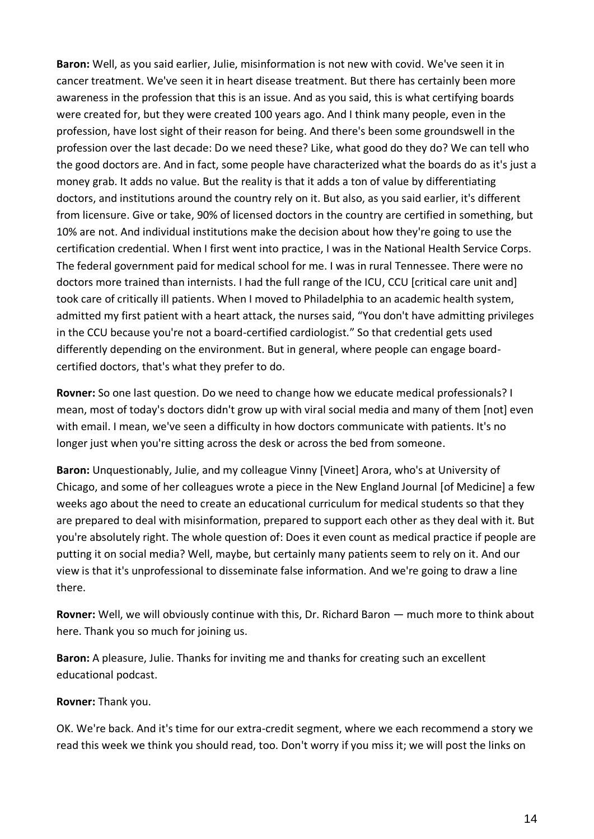**Baron:** Well, as you said earlier, Julie, misinformation is not new with covid. We've seen it in cancer treatment. We've seen it in heart disease treatment. But there has certainly been more awareness in the profession that this is an issue. And as you said, this is what certifying boards were created for, but they were created 100 years ago. And I think many people, even in the profession, have lost sight of their reason for being. And there's been some groundswell in the profession over the last decade: Do we need these? Like, what good do they do? We can tell who the good doctors are. And in fact, some people have characterized what the boards do as it's just a money grab. It adds no value. But the reality is that it adds a ton of value by differentiating doctors, and institutions around the country rely on it. But also, as you said earlier, it's different from licensure. Give or take, 90% of licensed doctors in the country are certified in something, but 10% are not. And individual institutions make the decision about how they're going to use the certification credential. When I first went into practice, I was in the National Health Service Corps. The federal government paid for medical school for me. I was in rural Tennessee. There were no doctors more trained than internists. I had the full range of the ICU, CCU [critical care unit and] took care of critically ill patients. When I moved to Philadelphia to an academic health system, admitted my first patient with a heart attack, the nurses said, "You don't have admitting privileges in the CCU because you're not a board-certified cardiologist." So that credential gets used differently depending on the environment. But in general, where people can engage boardcertified doctors, that's what they prefer to do.

**Rovner:** So one last question. Do we need to change how we educate medical professionals? I mean, most of today's doctors didn't grow up with viral social media and many of them [not] even with email. I mean, we've seen a difficulty in how doctors communicate with patients. It's no longer just when you're sitting across the desk or across the bed from someone.

**Baron:** Unquestionably, Julie, and my colleague Vinny [Vineet] Arora, who's at University of Chicago, and some of her colleagues wrote a piece in the New England Journal [of Medicine] a few weeks ago about the need to create an educational curriculum for medical students so that they are prepared to deal with misinformation, prepared to support each other as they deal with it. But you're absolutely right. The whole question of: Does it even count as medical practice if people are putting it on social media? Well, maybe, but certainly many patients seem to rely on it. And our view is that it's unprofessional to disseminate false information. And we're going to draw a line there.

**Rovner:** Well, we will obviously continue with this, Dr. Richard Baron — much more to think about here. Thank you so much for joining us.

**Baron:** A pleasure, Julie. Thanks for inviting me and thanks for creating such an excellent educational podcast.

## **Rovner:** Thank you.

OK. We're back. And it's time for our extra-credit segment, where we each recommend a story we read this week we think you should read, too. Don't worry if you miss it; we will post the links on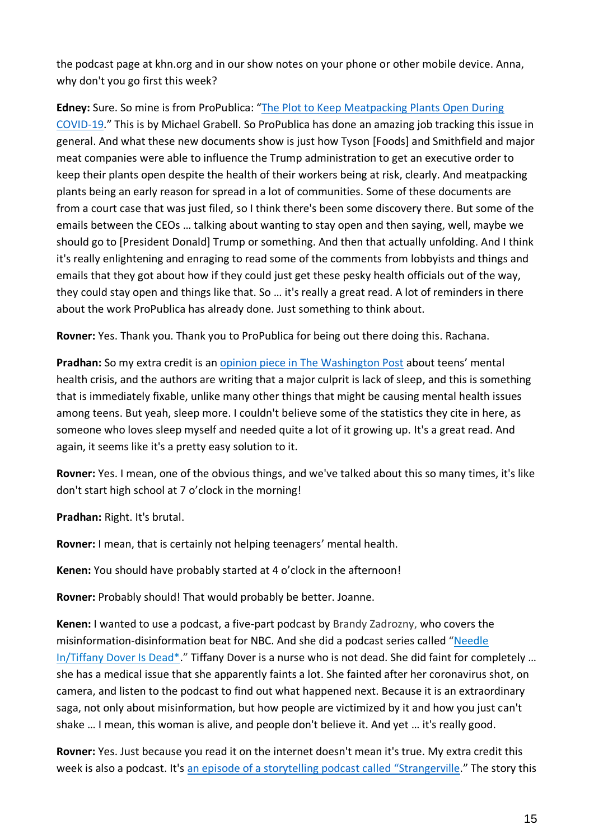the podcast page at khn.org and in our show notes on your phone or other mobile device. Anna, why don't you go first this week?

**Edney:** Sure. So mine is from ProPublica: "[The Plot to Keep Meatpacking Plants Open During](https://www.propublica.org/article/documents-covid-meatpacking-tyson-smithfield-trump)  [COVID-19.](https://www.propublica.org/article/documents-covid-meatpacking-tyson-smithfield-trump)" This is by Michael Grabell. So ProPublica has done an amazing job tracking this issue in general. And what these new documents show is just how Tyson [Foods] and Smithfield and major meat companies were able to influence the Trump administration to get an executive order to keep their plants open despite the health of their workers being at risk, clearly. And meatpacking plants being an early reason for spread in a lot of communities. Some of these documents are from a court case that was just filed, so I think there's been some discovery there. But some of the emails between the CEOs … talking about wanting to stay open and then saying, well, maybe we should go to [President Donald] Trump or something. And then that actually unfolding. And I think it's really enlightening and enraging to read some of the comments from lobbyists and things and emails that they got about how if they could just get these pesky health officials out of the way, they could stay open and things like that. So … it's really a great read. A lot of reminders in there about the work ProPublica has already done. Just something to think about.

**Rovner:** Yes. Thank you. Thank you to ProPublica for being out there doing this. Rachana.

**Pradhan:** So my extra credit is an [opinion piece in The Washington Post](https://www.washingtonpost.com/opinions/2022/05/20/teen-mental-health-crisis-culprit-lack-of-sleep/) about teens' mental health crisis, and the authors are writing that a major culprit is lack of sleep, and this is something that is immediately fixable, unlike many other things that might be causing mental health issues among teens. But yeah, sleep more. I couldn't believe some of the statistics they cite in here, as someone who loves sleep myself and needed quite a lot of it growing up. It's a great read. And again, it seems like it's a pretty easy solution to it.

**Rovner:** Yes. I mean, one of the obvious things, and we've talked about this so many times, it's like don't start high school at 7 o'clock in the morning!

**Pradhan:** Right. It's brutal.

**Rovner:** I mean, that is certainly not helping teenagers' mental health.

**Kenen:** You should have probably started at 4 o'clock in the afternoon!

**Rovner:** Probably should! That would probably be better. Joanne.

**Kenen:** I wanted to use a podcast, a five-part podcast by Brandy Zadrozny, who covers the misinformation-disinformation beat for NBC. And she did a podcast series called "[Needle](https://www.nbcnews.com/podcast/truthers/needle-tiffany-dover-dead-episode-1-n1294465)  [In/Tiffany Dover Is Dead\\*.](https://www.nbcnews.com/podcast/truthers/needle-tiffany-dover-dead-episode-1-n1294465)" Tiffany Dover is a nurse who is not dead. She did faint for completely … she has a medical issue that she apparently faints a lot. She fainted after her coronavirus shot, on camera, and listen to the podcast to find out what happened next. Because it is an extraordinary saga, not only about misinformation, but how people are victimized by it and how you just can't shake … I mean, this woman is alive, and people don't believe it. And yet … it's really good.

**Rovner:** Yes. Just because you read it on the internet doesn't mean it's true. My extra credit this week is also a podcast. It's [an episode of a storytelling podcast called](https://www.itjustgetsstranger.com/strangerville/episodes/episode-203-jacob/) "Strangerville." The story this